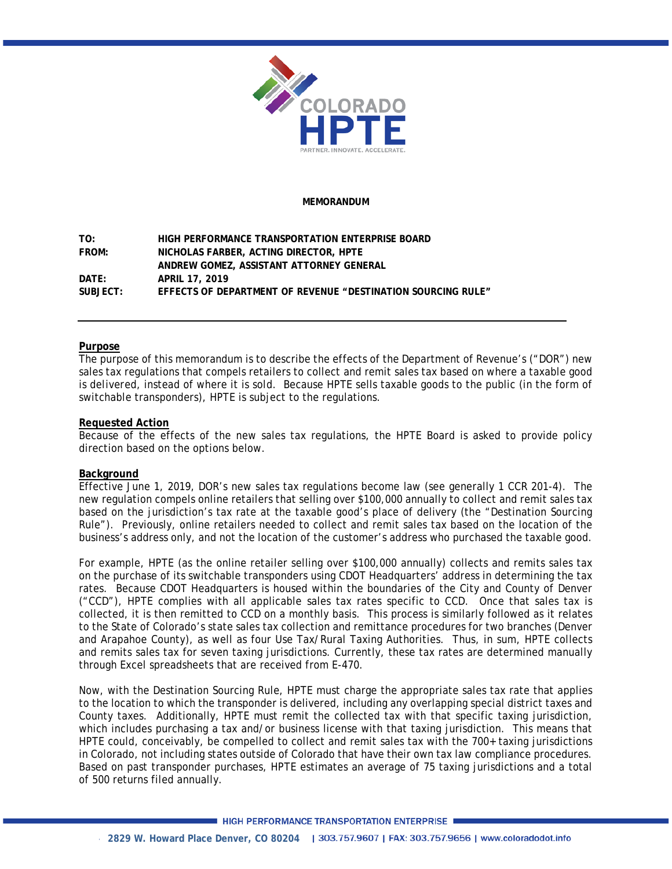

#### **MEMORANDUM**

**TO: HIGH PERFORMANCE TRANSPORTATION ENTERPRISE BOARD FROM: NICHOLAS FARBER, ACTING DIRECTOR, HPTE ANDREW GOMEZ, ASSISTANT ATTORNEY GENERAL DATE: APRIL 17, 2019 SUBJECT: EFFECTS OF DEPARTMENT OF REVENUE "DESTINATION SOURCING RULE"**

### **Purpose**

The purpose of this memorandum is to describe the effects of the Department of Revenue's ("DOR") new sales tax regulations that compels retailers to collect and remit sales tax based on where a taxable good is *delivered*, instead of where it is *sold*. Because HPTE sells taxable goods to the public (in the form of switchable transponders), HPTE is subject to the regulations.

### **Requested Action**

Because of the effects of the new sales tax regulations, the HPTE Board is asked to provide policy direction based on the options below.

# **Background**

Effective June 1, 2019, DOR's new sales tax regulations become law (see generally 1 CCR 201-4). The new regulation compels online retailers that selling over \$100,000 annually to collect and remit sales tax based on the jurisdiction's tax rate at the taxable good's place of delivery (the "Destination Sourcing Rule"). Previously, online retailers needed to collect and remit sales tax based on the location of the business's address only, and not the location of the customer's address who purchased the taxable good.

For example, HPTE (as the online retailer selling over \$100,000 annually) collects and remits sales tax on the purchase of its switchable transponders using CDOT Headquarters' address in determining the tax rates. Because CDOT Headquarters is housed within the boundaries of the City and County of Denver ("CCD"), HPTE complies with all applicable sales tax rates specific to CCD. Once that sales tax is collected, it is then remitted to CCD on a monthly basis. This process is similarly followed as it relates to the State of Colorado's state sales tax collection and remittance procedures for two branches (Denver and Arapahoe County), as well as four Use Tax/Rural Taxing Authorities. Thus, in sum, HPTE collects and remits sales tax for seven taxing jurisdictions. Currently, these tax rates are determined manually through Excel spreadsheets that are received from E-470.

Now, with the Destination Sourcing Rule, HPTE must charge the appropriate sales tax rate that applies to the location to which the transponder is delivered, including any overlapping special district taxes and County taxes. Additionally, HPTE must remit the collected tax with that specific taxing jurisdiction, which includes purchasing a tax and/or business license with that taxing jurisdiction. This means that HPTE could, conceivably, be compelled to collect and remit sales tax with the 700+ taxing jurisdictions in Colorado, not including states outside of Colorado that have their own tax law compliance procedures. Based on past transponder purchases, HPTE estimates an average of 75 taxing jurisdictions and a total of 500 returns filed annually.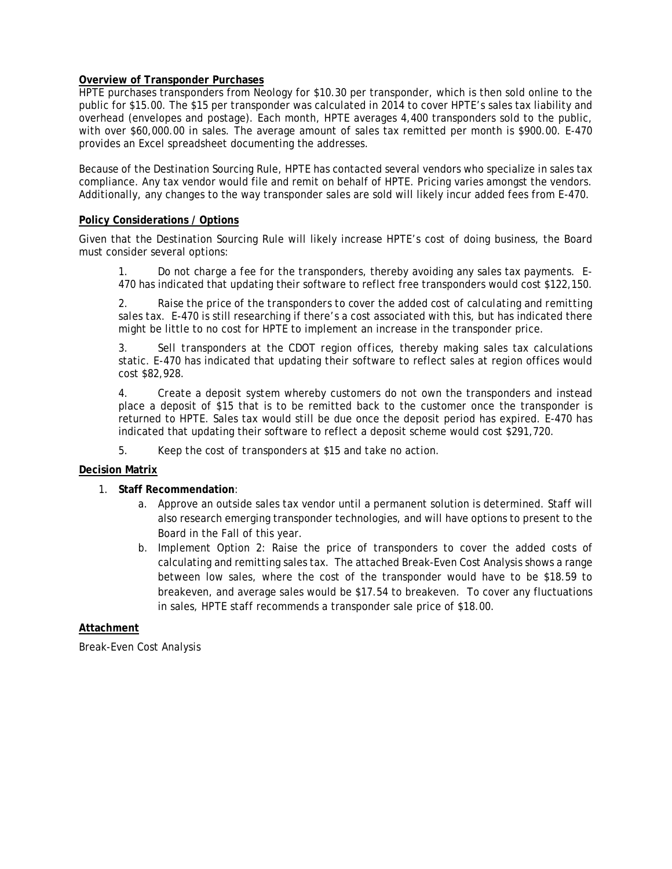# **Overview of Transponder Purchases**

HPTE purchases transponders from Neology for \$10.30 per transponder, which is then sold online to the public for \$15.00. The \$15 per transponder was calculated in 2014 to cover HPTE's sales tax liability and overhead (envelopes and postage). Each month, HPTE averages 4,400 transponders sold to the public, with over \$60,000.00 in sales. The average amount of sales tax remitted per month is \$900.00. E-470 provides an Excel spreadsheet documenting the addresses.

Because of the Destination Sourcing Rule, HPTE has contacted several vendors who specialize in sales tax compliance. Any tax vendor would file and remit on behalf of HPTE. Pricing varies amongst the vendors. Additionally, any changes to the way transponder sales are sold will likely incur added fees from E-470.

# **Policy Considerations / Options**

Given that the Destination Sourcing Rule will likely increase HPTE's cost of doing business, the Board must consider several options:

1. *Do not charge a fee for the transponders*, thereby avoiding any sales tax payments. E-470 has indicated that updating their software to reflect free transponders would cost \$122,150.

2. *Raise the price of the transponders to cover the added cost of calculating and remitting sales tax*. E-470 is still researching if there's a cost associated with this, but has indicated there might be little to no cost for HPTE to implement an increase in the transponder price.

3. *Sell transponders at the CDOT region offices*, thereby making sales tax calculations static. E-470 has indicated that updating their software to reflect sales at region offices would cost \$82,928.

4. *Create a deposit system* whereby customers do not own the transponders and instead place a deposit of \$15 that is to be remitted back to the customer once the transponder is returned to HPTE. Sales tax would still be due once the deposit period has expired. E-470 has indicated that updating their software to reflect a deposit scheme would cost \$291,720.

5. *Keep the cost of transponders at \$15 and take no action*.

# **Decision Matrix**

- 1. **Staff Recommendation**:
	- a. Approve an outside sales tax vendor until a permanent solution is determined. Staff will also research emerging transponder technologies, and will have options to present to the Board in the Fall of this year.
	- b. Implement Option 2: Raise the price of transponders to cover the added costs of calculating and remitting sales tax. The attached Break-Even Cost Analysis shows a range between low sales, where the cost of the transponder would have to be \$18.59 to breakeven, and average sales would be \$17.54 to breakeven. To cover any fluctuations in sales, HPTE staff recommends a transponder sale price of \$18.00.

# **Attachment**

Break-Even Cost Analysis